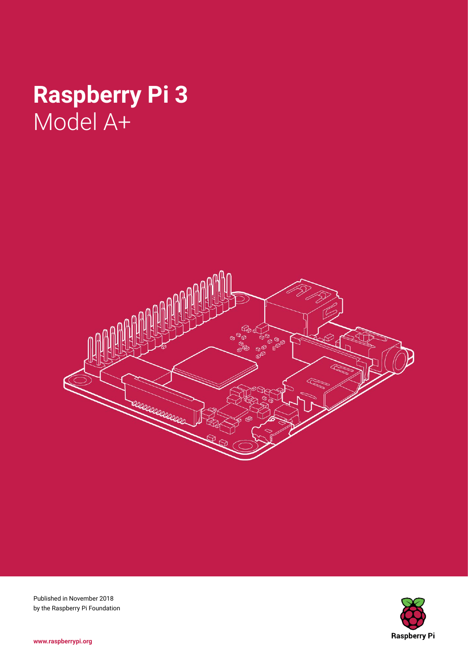### **Raspberry Pi 3** Model A+



**Raspberry Pi** 

Published in November 2018 by the Raspberry Pi Foundation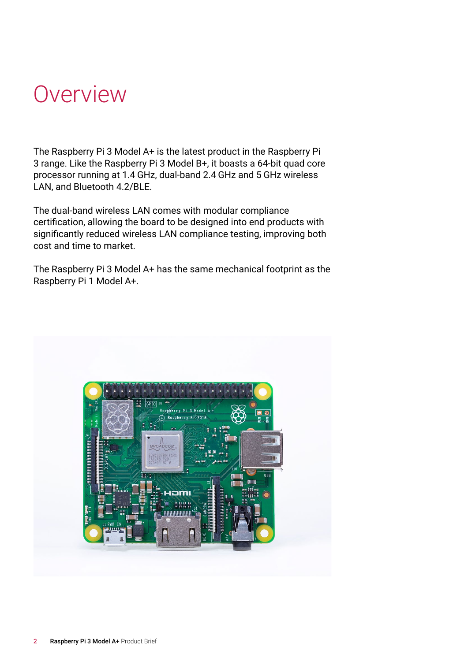### **Overview**

The Raspberry Pi 3 Model A+ is the latest product in the Raspberry Pi 3 range. Like the Raspberry Pi 3 Model B+, it boasts a 64-bit quad core processor running at 1.4 GHz, dual-band 2.4 GHz and 5 GHz wireless LAN, and Bluetooth 4.2/BLE.

The dual-band wireless LAN comes with modular compliance certification, allowing the board to be designed into end products with significantly reduced wireless LAN compliance testing, improving both cost and time to market.

The Raspberry Pi 3 Model A+ has the same mechanical footprint as the Raspberry Pi 1 Model A+.

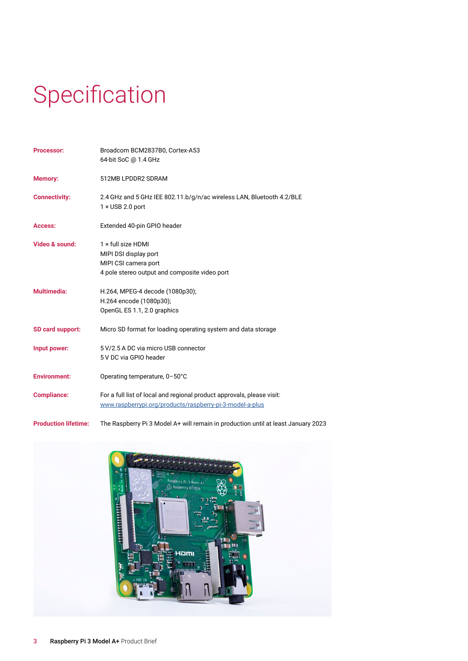# Specification

| <b>Processor:</b>           | Broadcom BCM2837B0, Cortex-A53<br>64-bit SoC @ 1.4 GHz                                                                             |
|-----------------------------|------------------------------------------------------------------------------------------------------------------------------------|
| <b>Memory:</b>              | 512MB LPDDR2 SDRAM                                                                                                                 |
| <b>Connectivity:</b>        | 2.4 GHz and 5 GHz IEE 802.11.b/g/n/ac wireless LAN, Bluetooth 4.2/BLE<br>$1 \times$ USB 2.0 port                                   |
| Access:                     | Extended 40-pin GPIO header                                                                                                        |
| Video & sound:              | $1 \times$ full size HDMI<br>MIPI DSI display port<br>MIPI CSI camera port<br>4 pole stereo output and composite video port        |
| <b>Multimedia:</b>          | H.264, MPEG-4 decode (1080p30);<br>H.264 encode (1080p30);<br>OpenGL ES 1.1, 2.0 graphics                                          |
| SD card support:            | Micro SD format for loading operating system and data storage                                                                      |
| Input power:                | 5 V/2.5 A DC via micro USB connector<br>5 V DC via GPIO header                                                                     |
| <b>Environment:</b>         | Operating temperature, 0-50°C                                                                                                      |
| <b>Compliance:</b>          | For a full list of local and regional product approvals, please visit:<br>www.raspberrypi.org/products/raspberry-pi-3-model-a-plus |
| <b>Production lifetime:</b> | The Raspberry Pi 3 Model A+ will remain in production until at least January 2023                                                  |

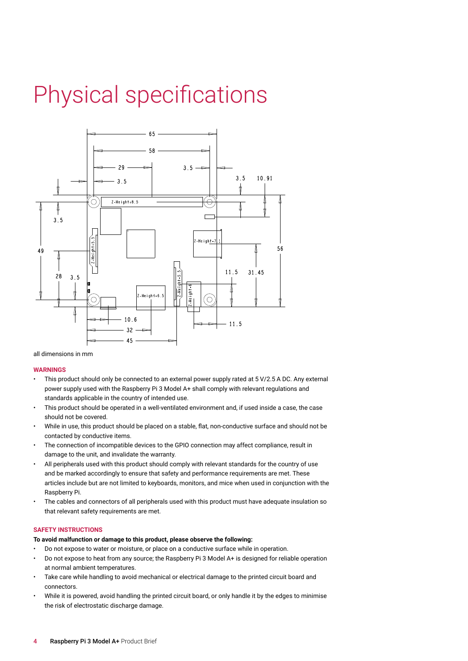## Physical specifications



all dimensions in mm

#### **WARNINGS**

- This product should only be connected to an external power supply rated at 5 $V/2.5$  A DC. Any external power supply used with the Raspberry Pi 3 Model A+ shall comply with relevant regulations and standards applicable in the country of intended use.
- This product should be operated in a well-ventilated environment and, if used inside a case, the case should not be covered.
- While in use, this product should be placed on a stable, flat, non-conductive surface and should not be contacted by conductive items.
- The connection of incompatible devices to the GPIO connection may affect compliance, result in damage to the unit, and invalidate the warranty.
- All peripherals used with this product should comply with relevant standards for the country of use and be marked accordingly to ensure that safety and performance requirements are met. These articles include but are not limited to keyboards, monitors, and mice when used in conjunction with the Raspberry Pi.
- The cables and connectors of all peripherals used with this product must have adequate insulation so that relevant safety requirements are met.

### **SAFETY INSTRUCTIONS**

#### **To avoid malfunction or damage to this product, please observe the following:**

- Do not expose to water or moisture, or place on a conductive surface while in operation.
- Do not expose to heat from any source; the Raspberry Pi 3 Model A+ is designed for reliable operation at normal ambient temperatures.
- Take care while handling to avoid mechanical or electrical damage to the printed circuit board and connectors.
- While it is powered, avoid handling the printed circuit board, or only handle it by the edges to minimise the risk of electrostatic discharge damage.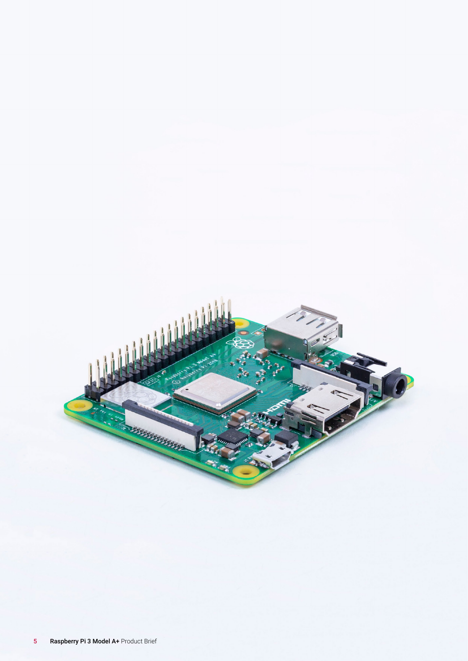